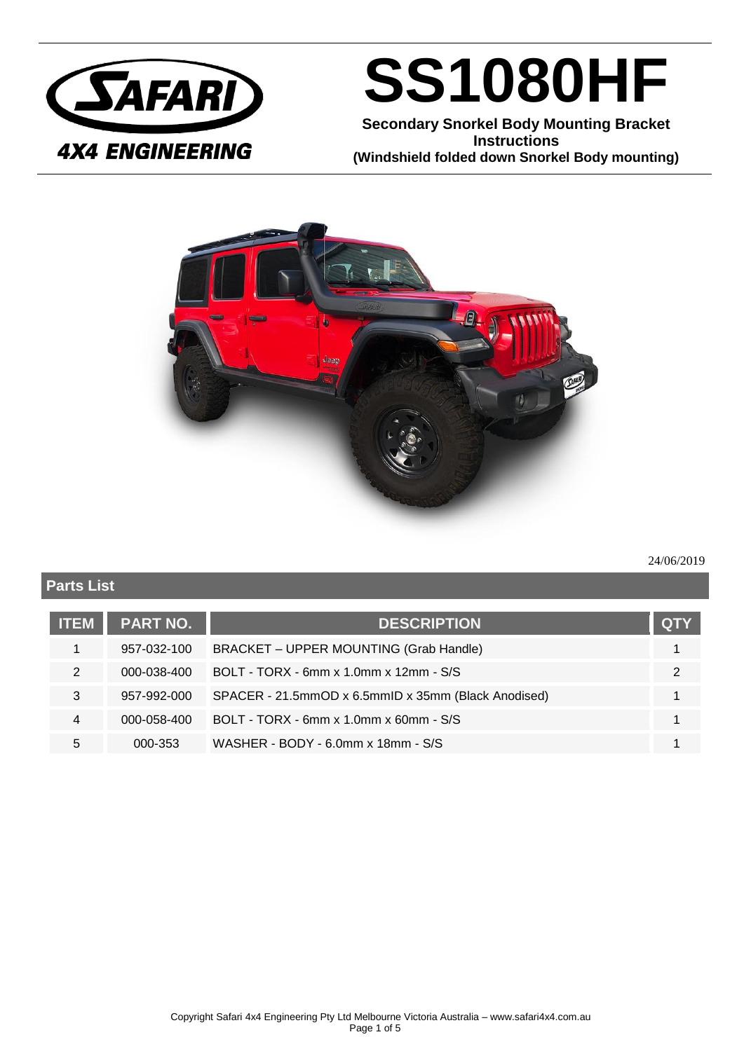

## **SS1080HF**

**Secondary Snorkel Body Mounting Bracket Instructions (Windshield folded down Snorkel Body mounting)**



#### 24/06/2019

### **Parts List ITEM PART NO. DESCRIPTION QTY** 1 957-032-100 BRACKET – UPPER MOUNTING (Grab Handle) 1 1 2 000-038-400 BOLT - TORX - 6mm x 1.0mm x 12mm - S/S 2 3 957-992-000 SPACER - 21.5mmOD x 6.5mmID x 35mm (Black Anodised) 1 4 000-058-400 BOLT - TORX - 6mm x 1.0mm x 60mm - S/S 1 5 000-353 WASHER - BODY - 6.0mm x 18mm - S/S 1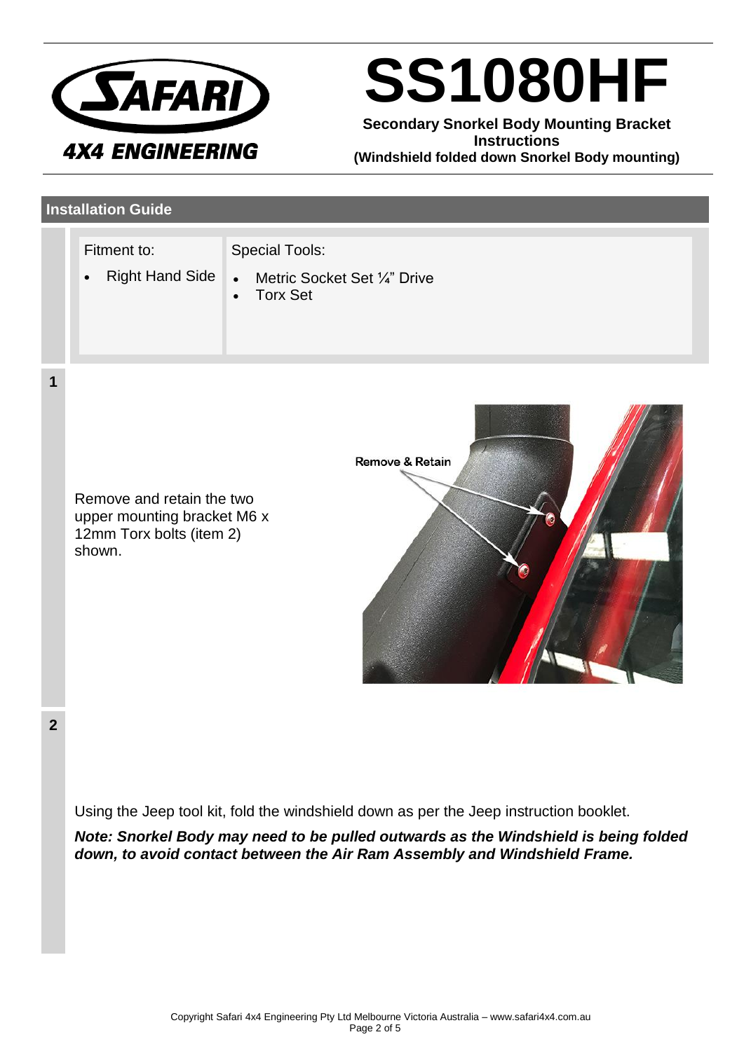

# **SS1080HF**

**Secondary Snorkel Body Mounting Bracket Instructions (Windshield folded down Snorkel Body mounting)**

### **Installation Guide**

| Fitment to:<br><b>Right Hand Side</b><br>$\bullet$ | <b>Special Tools:</b><br>Metric Socket Set 1/4" Drive<br>$\bullet$<br>• Torx Set |  |
|----------------------------------------------------|----------------------------------------------------------------------------------|--|
|                                                    |                                                                                  |  |

Remove and retain the two upper mounting bracket M6 x 12mm Torx bolts (item 2) shown.



**2**

**1**

Using the Jeep tool kit, fold the windshield down as per the Jeep instruction booklet.

*Note: Snorkel Body may need to be pulled outwards as the Windshield is being folded down, to avoid contact between the Air Ram Assembly and Windshield Frame.*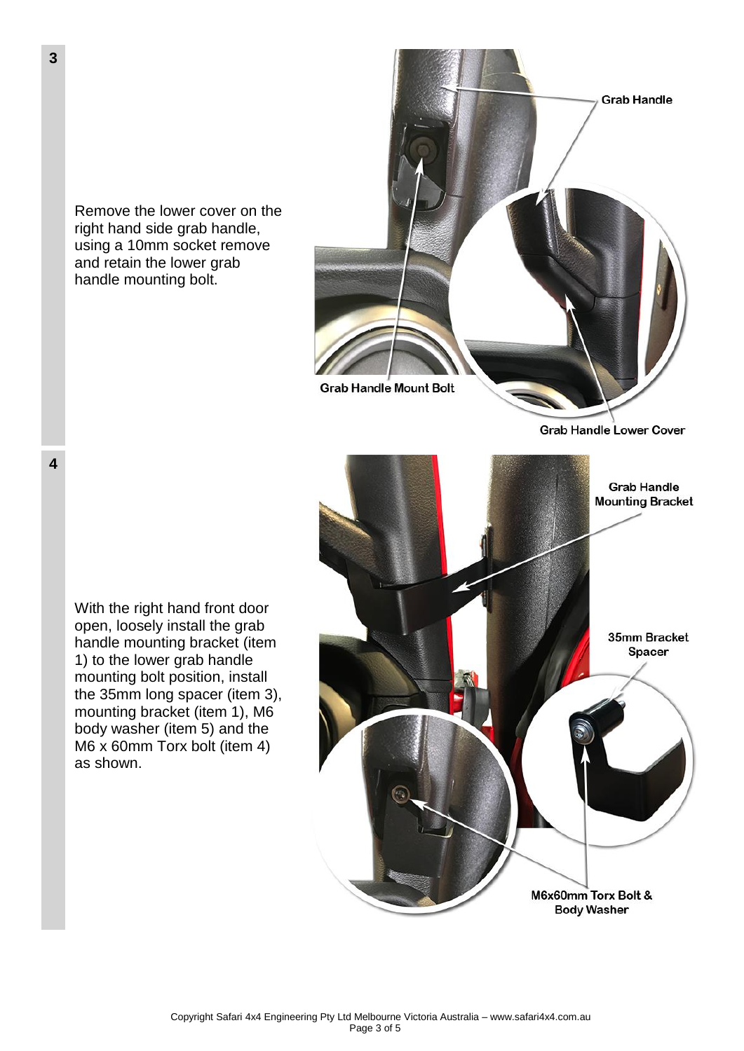Remove the lower cover on the right hand side grab handle, using a 10mm socket remove and retain the lower grab handle mounting bolt.



**Grab Handle Lower Cover** 

**Grab Handle Mounting Bracket** 35mm Bracket Spacer M6x60mm Torx Bolt & **Body Washer** 

With the right hand front door open, loosely install the grab handle mounting bracket (item 1) to the lower grab handle mounting bolt position, install the 35mm long spacer (item 3), mounting bracket (item 1), M6 body washer (item 5) and the M6 x 60mm Torx bolt (item 4) as shown.

**4**

**3**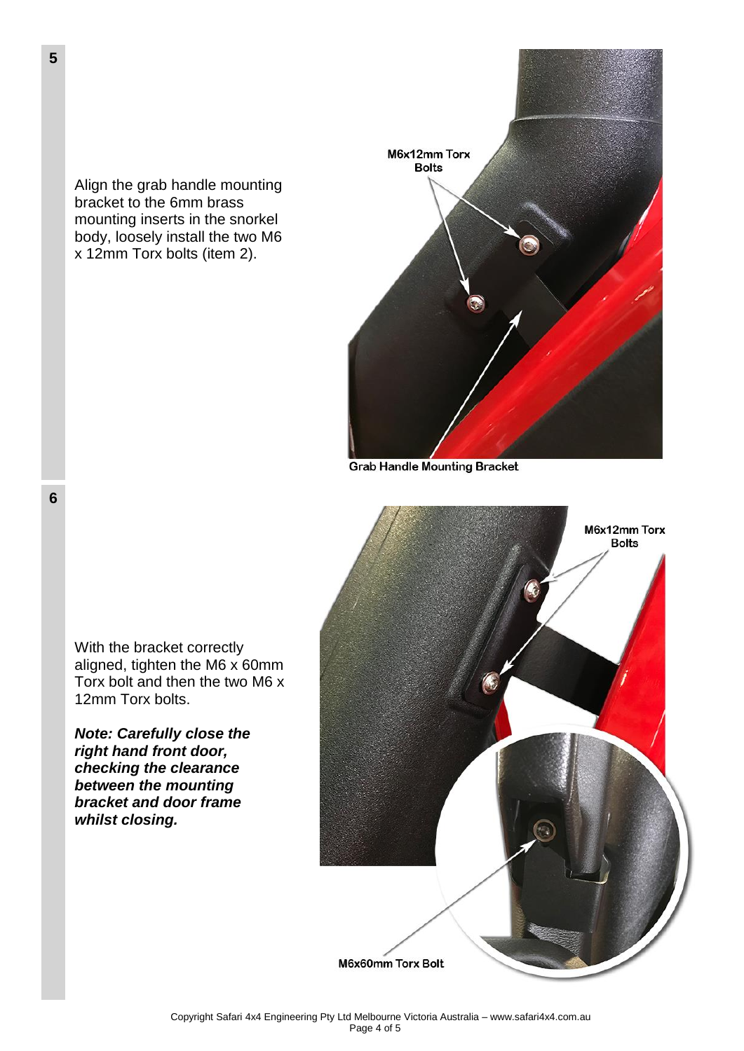Align the grab handle mounting bracket to the 6mm brass mounting inserts in the snorkel body, loosely install the two M6 x 12mm Torx bolts (item 2).



**Grab Handle Mounting Bracket** 



With the bracket correctly aligned, tighten the M6 x 60mm Torx bolt and then the two M6 x 12mm Torx bolts.

*Note: Carefully close the right hand front door, checking the clearance between the mounting bracket and door frame whilst closing.*

**6**